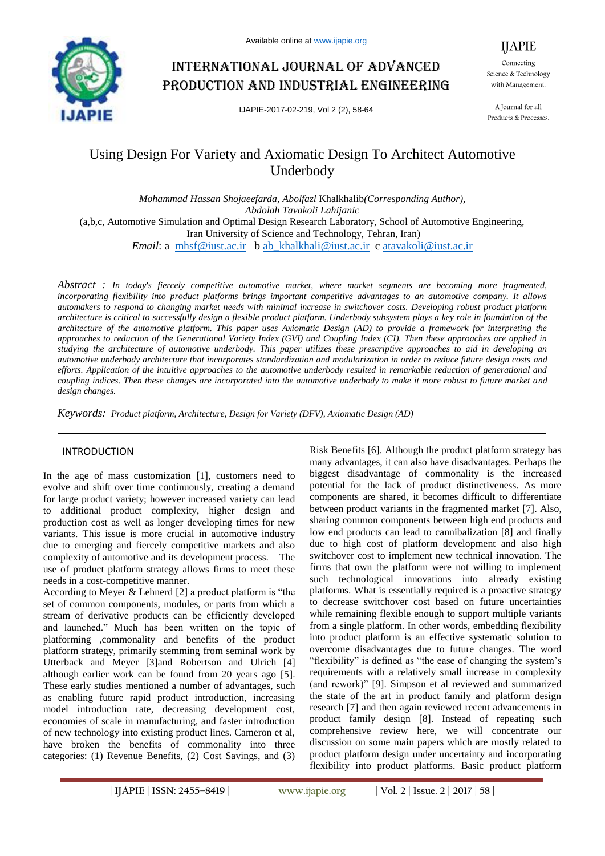

# International journal of advanced production and industrial engineering

IJAPIE-2017-02-219, Vol 2 (2), 58-64

IJAPIE

Connecting Science & Technology with Management.

A Journal for all Products & Processes.

# Using Design For Variety and Axiomatic Design To Architect Automotive Underbody

*Mohammad Hassan Shojaeefarda, Abolfazl* Khalkhalib*(Corresponding Author), Abdolah Tavakoli Lahijanic*  (a,b,c, Automotive Simulation and Optimal Design Research Laboratory, School of Automotive Engineering, Iran University of Science and Technology, Tehran, Iran)

*Email*: a mhsf@iust.ac.ir b ab\_khalkhali@iust.ac.ir c atavakoli@iust.ac.ir

*Abstract : In today's fiercely competitive automotive market, where market segments are becoming more fragmented, incorporating flexibility into product platforms brings important competitive advantages to an automotive company. It allows automakers to respond to changing market needs with minimal increase in switchover costs. Developing robust product platform architecture is critical to successfully design a flexible product platform. Underbody subsystem plays a key role in foundation of the architecture of the automotive platform. This paper uses Axiomatic Design (AD) to provide a framework for interpreting the approaches to reduction of the Generational Variety Index (GVI) and Coupling Index (CI). Then these approaches are applied in studying the architecture of automotive underbody. This paper utilizes these prescriptive approaches to aid in developing an automotive underbody architecture that incorporates standardization and modularization in order to reduce future design costs and efforts. Application of the intuitive approaches to the automotive underbody resulted in remarkable reduction of generational and coupling indices. Then these changes are incorporated into the automotive underbody to make it more robust to future market and design changes.*

*Keywords: Product platform, Architecture, Design for Variety (DFV), Axiomatic Design (AD)*

### INTRODUCTION

In the age of mass customization [1], customers need to evolve and shift over time continuously, creating a demand for large product variety; however increased variety can lead to additional product complexity, higher design and production cost as well as longer developing times for new variants. This issue is more crucial in automotive industry due to emerging and fiercely competitive markets and also complexity of automotive and its development process. The use of product platform strategy allows firms to meet these needs in a cost-competitive manner.

According to Meyer & Lehnerd [2] a product platform is "the set of common components, modules, or parts from which a stream of derivative products can be efficiently developed and launched." Much has been written on the topic of platforming ,commonality and benefits of the product platform strategy, primarily stemming from seminal work by Utterback and Meyer [3]and Robertson and Ulrich [4] although earlier work can be found from 20 years ago [5]. These early studies mentioned a number of advantages, such as enabling future rapid product introduction, increasing model introduction rate, decreasing development cost, economies of scale in manufacturing, and faster introduction of new technology into existing product lines. Cameron et al, have broken the benefits of commonality into three categories: (1) Revenue Benefits, (2) Cost Savings, and (3)

Risk Benefits [6]. Although the product platform strategy has many advantages, it can also have disadvantages. Perhaps the biggest disadvantage of commonality is the increased potential for the lack of product distinctiveness. As more components are shared, it becomes difficult to differentiate between product variants in the fragmented market [7]. Also, sharing common components between high end products and low end products can lead to cannibalization [8] and finally due to high cost of platform development and also high switchover cost to implement new technical innovation. The firms that own the platform were not willing to implement such technological innovations into already existing platforms. What is essentially required is a proactive strategy to decrease switchover cost based on future uncertainties while remaining flexible enough to support multiple variants from a single platform. In other words, embedding flexibility into product platform is an effective systematic solution to overcome disadvantages due to future changes. The word "flexibility" is defined as "the ease of changing the system's requirements with a relatively small increase in complexity (and rework)" [9]. Simpson et al reviewed and summarized the state of the art in product family and platform design research [7] and then again reviewed recent advancements in product family design [8]. Instead of repeating such comprehensive review here, we will concentrate our discussion on some main papers which are mostly related to product platform design under uncertainty and incorporating flexibility into product platforms. Basic product platform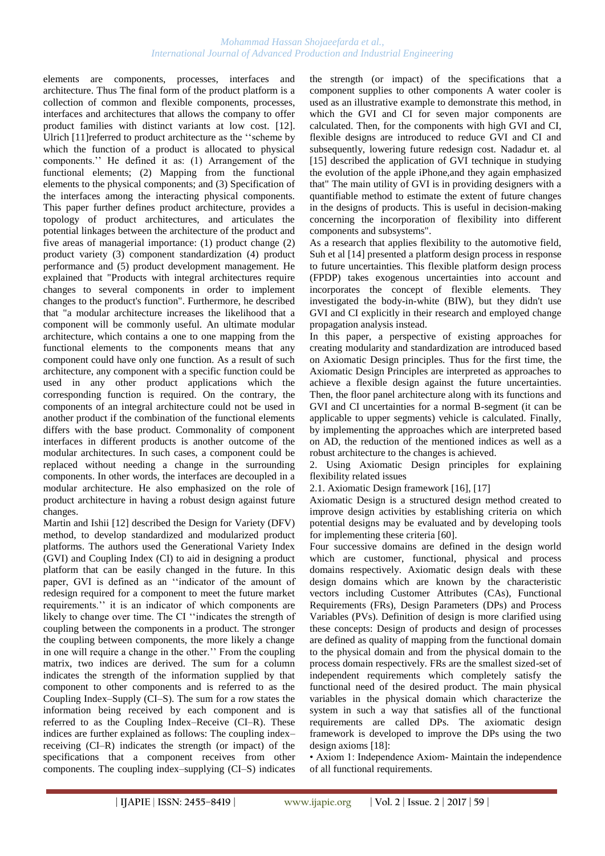elements are components, processes, interfaces and architecture. Thus The final form of the product platform is a collection of common and flexible components, processes, interfaces and architectures that allows the company to offer product families with distinct variants at low cost. [12]. Ulrich [11]referred to product architecture as the ""scheme by which the function of a product is allocated to physical components."" He defined it as: (1) Arrangement of the functional elements; (2) Mapping from the functional elements to the physical components; and (3) Specification of the interfaces among the interacting physical components. This paper further defines product architecture, provides a topology of product architectures, and articulates the potential linkages between the architecture of the product and five areas of managerial importance: (1) product change (2) product variety (3) component standardization (4) product performance and (5) product development management. He explained that "Products with integral architectures require changes to several components in order to implement changes to the product's function". Furthermore, he described that "a modular architecture increases the likelihood that a component will be commonly useful. An ultimate modular architecture, which contains a one to one mapping from the functional elements to the components means that any component could have only one function. As a result of such architecture, any component with a specific function could be used in any other product applications which the corresponding function is required. On the contrary, the components of an integral architecture could not be used in another product if the combination of the functional elements differs with the base product. Commonality of component interfaces in different products is another outcome of the modular architectures. In such cases, a component could be replaced without needing a change in the surrounding components. In other words, the interfaces are decoupled in a modular architecture. He also emphasized on the role of product architecture in having a robust design against future changes.

Martin and Ishii [12] described the Design for Variety (DFV) method, to develop standardized and modularized product platforms. The authors used the Generational Variety Index (GVI) and Coupling Index (CI) to aid in designing a product platform that can be easily changed in the future. In this paper, GVI is defined as an ""indicator of the amount of redesign required for a component to meet the future market requirements."" it is an indicator of which components are likely to change over time. The CI ""indicates the strength of coupling between the components in a product. The stronger the coupling between components, the more likely a change in one will require a change in the other."" From the coupling matrix, two indices are derived. The sum for a column indicates the strength of the information supplied by that component to other components and is referred to as the Coupling Index–Supply (CI–S). The sum for a row states the information being received by each component and is referred to as the Coupling Index–Receive (CI–R). These indices are further explained as follows: The coupling index– receiving (CI–R) indicates the strength (or impact) of the specifications that a component receives from other components. The coupling index–supplying (CI–S) indicates the strength (or impact) of the specifications that a component supplies to other components A water cooler is used as an illustrative example to demonstrate this method, in which the GVI and CI for seven major components are calculated. Then, for the components with high GVI and CI, flexible designs are introduced to reduce GVI and CI and subsequently, lowering future redesign cost. Nadadur et. al [15] described the application of GVI technique in studying the evolution of the apple iPhone,and they again emphasized that" The main utility of GVI is in providing designers with a quantifiable method to estimate the extent of future changes in the designs of products. This is useful in decision-making concerning the incorporation of flexibility into different components and subsystems".

As a research that applies flexibility to the automotive field, Suh et al [14] presented a platform design process in response to future uncertainties. This flexible platform design process (FPDP) takes exogenous uncertainties into account and incorporates the concept of flexible elements. They investigated the body-in-white (BIW), but they didn't use GVI and CI explicitly in their research and employed change propagation analysis instead.

In this paper, a perspective of existing approaches for creating modularity and standardization are introduced based on Axiomatic Design principles. Thus for the first time, the Axiomatic Design Principles are interpreted as approaches to achieve a flexible design against the future uncertainties. Then, the floor panel architecture along with its functions and GVI and CI uncertainties for a normal B-segment (it can be applicable to upper segments) vehicle is calculated. Finally, by implementing the approaches which are interpreted based on AD, the reduction of the mentioned indices as well as a robust architecture to the changes is achieved.

2. Using Axiomatic Design principles for explaining flexibility related issues

2.1. Axiomatic Design framework [16], [17]

Axiomatic Design is a structured design method created to improve design activities by establishing criteria on which potential designs may be evaluated and by developing tools for implementing these criteria [60].

Four successive domains are defined in the design world which are customer, functional, physical and process domains respectively. Axiomatic design deals with these design domains which are known by the characteristic vectors including Customer Attributes (CAs), Functional Requirements (FRs), Design Parameters (DPs) and Process Variables (PVs). Definition of design is more clarified using these concepts: Design of products and design of processes are defined as quality of mapping from the functional domain to the physical domain and from the physical domain to the process domain respectively. FRs are the smallest sized-set of independent requirements which completely satisfy the functional need of the desired product. The main physical variables in the physical domain which characterize the system in such a way that satisfies all of the functional requirements are called DPs. The axiomatic design framework is developed to improve the DPs using the two design axioms [18]:

• Axiom 1: Independence Axiom- Maintain the independence of all functional requirements.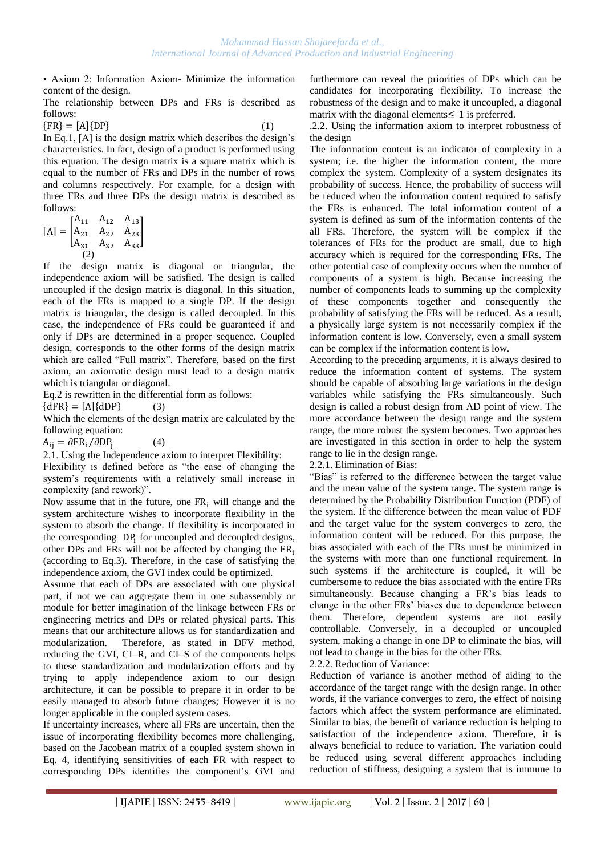• Axiom 2: Information Axiom- Minimize the information content of the design.

The relationship between DPs and FRs is described as follows:

 ${FR} = [A]{DP}$  (1)

In Eq.1,  $[A]$  is the design matrix which describes the design's characteristics. In fact, design of a product is performed using this equation. The design matrix is a square matrix which is equal to the number of FRs and DPs in the number of rows and columns respectively. For example, for a design with three FRs and three DPs the design matrix is described as follows:

$$
[A] = \begin{bmatrix} A_{11} & A_{12} & A_{13} \\ A_{21} & A_{22} & A_{23} \\ A_{31} & A_{32} & A_{33} \end{bmatrix}
$$
  
(2)

If the design matrix is diagonal or triangular, the independence axiom will be satisfied. The design is called uncoupled if the design matrix is diagonal. In this situation, each of the FRs is mapped to a single DP. If the design matrix is triangular, the design is called decoupled. In this case, the independence of FRs could be guaranteed if and only if DPs are determined in a proper sequence. Coupled design, corresponds to the other forms of the design matrix which are called "Full matrix". Therefore, based on the first axiom, an axiomatic design must lead to a design matrix which is triangular or diagonal.

Eq.2 is rewritten in the differential form as follows:

 ${dFR} = [A]{dDP}$  (3)

Which the elements of the design matrix are calculated by the following equation:

 $A_{ii} = \partial FR_i / \partial DP_i$ (4)

2.1. Using the Independence axiom to interpret Flexibility:

Flexibility is defined before as "the ease of changing the system"s requirements with a relatively small increase in complexity (and rework)".

Now assume that in the future, one  $FR$ , will change and the system architecture wishes to incorporate flexibility in the system to absorb the change. If flexibility is incorporated in the corresponding  $DP_i$  for uncoupled and decoupled designs, other DPs and FRs will not be affected by changing the (according to Eq.3). Therefore, in the case of satisfying the independence axiom, the GVI index could be optimized.

Assume that each of DPs are associated with one physical part, if not we can aggregate them in one subassembly or module for better imagination of the linkage between FRs or engineering metrics and DPs or related physical parts. This means that our architecture allows us for standardization and modularization. Therefore, as stated in DFV method, reducing the GVI, CI–R, and CI–S of the components helps to these standardization and modularization efforts and by trying to apply independence axiom to our design architecture, it can be possible to prepare it in order to be easily managed to absorb future changes; However it is no longer applicable in the coupled system cases.

If uncertainty increases, where all FRs are uncertain, then the issue of incorporating flexibility becomes more challenging, based on the Jacobean matrix of a coupled system shown in Eq. 4, identifying sensitivities of each FR with respect to corresponding DPs identifies the component's GVI and furthermore can reveal the priorities of DPs which can be candidates for incorporating flexibility. To increase the robustness of the design and to make it uncoupled, a diagonal matrix with the diagonal elements  $\leq 1$  is preferred.

.2.2. Using the information axiom to interpret robustness of the design

The information content is an indicator of complexity in a system; i.e. the higher the information content, the more complex the system. Complexity of a system designates its probability of success. Hence, the probability of success will be reduced when the information content required to satisfy the FRs is enhanced. The total information content of a system is defined as sum of the information contents of the all FRs. Therefore, the system will be complex if the tolerances of FRs for the product are small, due to high accuracy which is required for the corresponding FRs. The other potential case of complexity occurs when the number of components of a system is high. Because increasing the number of components leads to summing up the complexity of these components together and consequently the probability of satisfying the FRs will be reduced. As a result, a physically large system is not necessarily complex if the information content is low. Conversely, even a small system can be complex if the information content is low.

According to the preceding arguments, it is always desired to reduce the information content of systems. The system should be capable of absorbing large variations in the design variables while satisfying the FRs simultaneously. Such design is called a robust design from AD point of view. The more accordance between the design range and the system range, the more robust the system becomes. Two approaches are investigated in this section in order to help the system range to lie in the design range.

### 2.2.1. Elimination of Bias:

"Bias" is referred to the difference between the target value and the mean value of the system range. The system range is determined by the Probability Distribution Function (PDF) of the system. If the difference between the mean value of PDF and the target value for the system converges to zero, the information content will be reduced. For this purpose, the bias associated with each of the FRs must be minimized in the systems with more than one functional requirement. In such systems if the architecture is coupled, it will be cumbersome to reduce the bias associated with the entire FRs simultaneously. Because changing a FR"s bias leads to change in the other FRs" biases due to dependence between them. Therefore, dependent systems are not easily controllable. Conversely, in a decoupled or uncoupled system, making a change in one DP to eliminate the bias, will not lead to change in the bias for the other FRs.

2.2.2. Reduction of Variance:

Reduction of variance is another method of aiding to the accordance of the target range with the design range. In other words, if the variance converges to zero, the effect of noising factors which affect the system performance are eliminated. Similar to bias, the benefit of variance reduction is helping to satisfaction of the independence axiom. Therefore, it is always beneficial to reduce to variation. The variation could be reduced using several different approaches including reduction of stiffness, designing a system that is immune to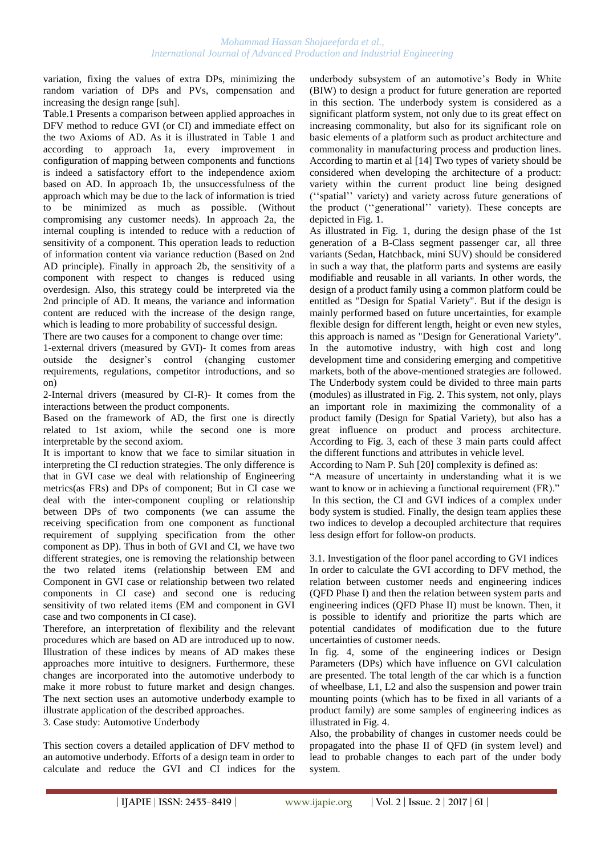variation, fixing the values of extra DPs, minimizing the random variation of DPs and PVs, compensation and increasing the design range [suh].

Table.1 Presents a comparison between applied approaches in DFV method to reduce GVI (or CI) and immediate effect on the two Axioms of AD. As it is illustrated in Table 1 and according to approach 1a, every improvement in configuration of mapping between components and functions is indeed a satisfactory effort to the independence axiom based on AD. In approach 1b, the unsuccessfulness of the approach which may be due to the lack of information is tried to be minimized as much as possible. (Without compromising any customer needs). In approach 2a, the internal coupling is intended to reduce with a reduction of sensitivity of a component. This operation leads to reduction of information content via variance reduction (Based on 2nd AD principle). Finally in approach 2b, the sensitivity of a component with respect to changes is reduced using overdesign. Also, this strategy could be interpreted via the 2nd principle of AD. It means, the variance and information content are reduced with the increase of the design range, which is leading to more probability of successful design.

There are two causes for a component to change over time:

1-external drivers (measured by GVI)- It comes from areas outside the designer"s control (changing customer requirements, regulations, competitor introductions, and so on)

2-Internal drivers (measured by CI-R)- It comes from the interactions between the product components.

Based on the framework of AD, the first one is directly related to 1st axiom, while the second one is more interpretable by the second axiom.

It is important to know that we face to similar situation in interpreting the CI reduction strategies. The only difference is that in GVI case we deal with relationship of Engineering metrics(as FRs) and DPs of component; But in CI case we deal with the inter-component coupling or relationship between DPs of two components (we can assume the receiving specification from one component as functional requirement of supplying specification from the other component as DP). Thus in both of GVI and CI, we have two different strategies, one is removing the relationship between the two related items (relationship between EM and Component in GVI case or relationship between two related components in CI case) and second one is reducing sensitivity of two related items (EM and component in GVI case and two components in CI case).

Therefore, an interpretation of flexibility and the relevant procedures which are based on AD are introduced up to now. Illustration of these indices by means of AD makes these approaches more intuitive to designers. Furthermore, these changes are incorporated into the automotive underbody to make it more robust to future market and design changes. The next section uses an automotive underbody example to illustrate application of the described approaches.

3. Case study: Automotive Underbody

This section covers a detailed application of DFV method to an automotive underbody. Efforts of a design team in order to calculate and reduce the GVI and CI indices for the

underbody subsystem of an automotive's Body in White (BIW) to design a product for future generation are reported in this section. The underbody system is considered as a significant platform system, not only due to its great effect on increasing commonality, but also for its significant role on basic elements of a platform such as product architecture and commonality in manufacturing process and production lines. According to martin et al [14] Two types of variety should be considered when developing the architecture of a product: variety within the current product line being designed (""spatial"" variety) and variety across future generations of the product (""generational"" variety). These concepts are depicted in Fig. 1.

As illustrated in Fig. 1, during the design phase of the 1st generation of a B-Class segment passenger car, all three variants (Sedan, Hatchback, mini SUV) should be considered in such a way that, the platform parts and systems are easily modifiable and reusable in all variants. In other words, the design of a product family using a common platform could be entitled as "Design for Spatial Variety". But if the design is mainly performed based on future uncertainties, for example flexible design for different length, height or even new styles, this approach is named as "Design for Generational Variety". In the automotive industry, with high cost and long development time and considering emerging and competitive markets, both of the above-mentioned strategies are followed. The Underbody system could be divided to three main parts (modules) as illustrated in Fig. 2. This system, not only, plays an important role in maximizing the commonality of a product family (Design for Spatial Variety), but also has a great influence on product and process architecture. According to Fig. 3, each of these 3 main parts could affect the different functions and attributes in vehicle level. According to Nam P. Suh [20] complexity is defined as:

"A measure of uncertainty in understanding what it is we want to know or in achieving a functional requirement *(FR)*." In this section, the CI and GVI indices of a complex under body system is studied. Finally, the design team applies these two indices to develop a decoupled architecture that requires less design effort for follow-on products.

3.1. Investigation of the floor panel according to GVI indices In order to calculate the GVI according to DFV method, the relation between customer needs and engineering indices (QFD Phase I) and then the relation between system parts and engineering indices (QFD Phase II) must be known. Then, it is possible to identify and prioritize the parts which are potential candidates of modification due to the future uncertainties of customer needs.

In fig. 4, some of the engineering indices or Design Parameters (DPs) which have influence on GVI calculation are presented. The total length of the car which is a function of wheelbase, L1, L2 and also the suspension and power train mounting points (which has to be fixed in all variants of a product family) are some samples of engineering indices as illustrated in Fig. 4.

Also, the probability of changes in customer needs could be propagated into the phase II of QFD (in system level) and lead to probable changes to each part of the under body system.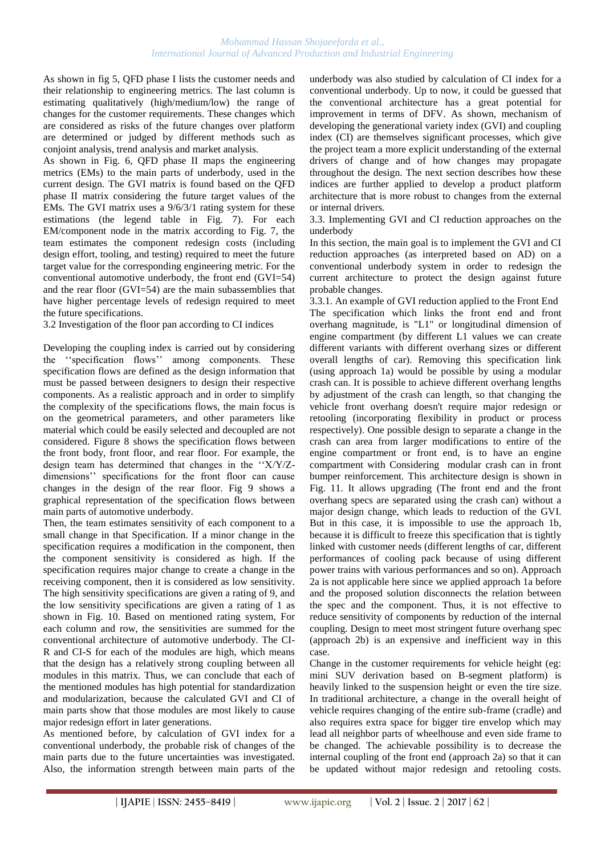As shown in fig 5, QFD phase I lists the customer needs and their relationship to engineering metrics. The last column is estimating qualitatively (high/medium/low) the range of changes for the customer requirements. These changes which are considered as risks of the future changes over platform are determined or judged by different methods such as conjoint analysis, trend analysis and market analysis.

As shown in Fig. 6, QFD phase II maps the engineering metrics (EMs) to the main parts of underbody, used in the current design. The GVI matrix is found based on the QFD phase II matrix considering the future target values of the EMs. The GVI matrix uses a 9/6/3/1 rating system for these estimations (the legend table in Fig. 7). For each EM/component node in the matrix according to Fig. 7, the team estimates the component redesign costs (including design effort, tooling, and testing) required to meet the future target value for the corresponding engineering metric. For the conventional automotive underbody, the front end (GVI=54) and the rear floor (GVI=54) are the main subassemblies that have higher percentage levels of redesign required to meet the future specifications.

3.2 Investigation of the floor pan according to CI indices

Developing the coupling index is carried out by considering the "specification flows" among components. These specification flows are defined as the design information that must be passed between designers to design their respective components. As a realistic approach and in order to simplify the complexity of the specifications flows, the main focus is on the geometrical parameters, and other parameters like material which could be easily selected and decoupled are not considered. Figure 8 shows the specification flows between the front body, front floor, and rear floor. For example, the design team has determined that changes in the " $X/Y/Z$ dimensions" specifications for the front floor can cause changes in the design of the rear floor. Fig 9 shows a graphical representation of the specification flows between main parts of automotive underbody.

Then, the team estimates sensitivity of each component to a small change in that Specification. If a minor change in the specification requires a modification in the component, then the component sensitivity is considered as high. If the specification requires major change to create a change in the receiving component, then it is considered as low sensitivity. The high sensitivity specifications are given a rating of 9, and the low sensitivity specifications are given a rating of 1 as shown in Fig. 10. Based on mentioned rating system, For each column and row, the sensitivities are summed for the conventional architecture of automotive underbody. The CI-R and CI-S for each of the modules are high, which means that the design has a relatively strong coupling between all modules in this matrix. Thus, we can conclude that each of the mentioned modules has high potential for standardization and modularization, because the calculated GVI and CI of main parts show that those modules are most likely to cause major redesign effort in later generations.

As mentioned before, by calculation of GVI index for a conventional underbody, the probable risk of changes of the main parts due to the future uncertainties was investigated. Also, the information strength between main parts of the underbody was also studied by calculation of CI index for a conventional underbody. Up to now, it could be guessed that the conventional architecture has a great potential for improvement in terms of DFV. As shown, mechanism of developing the generational variety index (GVI) and coupling index (CI) are themselves significant processes, which give the project team a more explicit understanding of the external drivers of change and of how changes may propagate throughout the design. The next section describes how these indices are further applied to develop a product platform architecture that is more robust to changes from the external or internal drivers.

3.3. Implementing GVI and CI reduction approaches on the underbody

In this section, the main goal is to implement the GVI and CI reduction approaches (as interpreted based on AD) on a conventional underbody system in order to redesign the current architecture to protect the design against future probable changes.

3.3.1. An example of GVI reduction applied to the Front End The specification which links the front end and front overhang magnitude, is "L1" or longitudinal dimension of engine compartment (by different L1 values we can create different variants with different overhang sizes or different overall lengths of car). Removing this specification link (using approach 1a) would be possible by using a modular crash can. It is possible to achieve different overhang lengths by adjustment of the crash can length, so that changing the vehicle front overhang doesn't require major redesign or retooling (incorporating flexibility in product or process respectively). One possible design to separate a change in the crash can area from larger modifications to entire of the engine compartment or front end, is to have an engine compartment with Considering modular crash can in front bumper reinforcement. This architecture design is shown in Fig. 11. It allows upgrading (The front end and the front overhang specs are separated using the crash can) without a major design change, which leads to reduction of the GVI. But in this case, it is impossible to use the approach 1b, because it is difficult to freeze this specification that is tightly linked with customer needs (different lengths of car, different performances of cooling pack because of using different power trains with various performances and so on). Approach 2a is not applicable here since we applied approach 1a before and the proposed solution disconnects the relation between the spec and the component. Thus, it is not effective to reduce sensitivity of components by reduction of the internal coupling. Design to meet most stringent future overhang spec (approach 2b) is an expensive and inefficient way in this case.

Change in the customer requirements for vehicle height (eg: mini SUV derivation based on B-segment platform) is heavily linked to the suspension height or even the tire size. In traditional architecture, a change in the overall height of vehicle requires changing of the entire sub-frame (cradle) and also requires extra space for bigger tire envelop which may lead all neighbor parts of wheelhouse and even side frame to be changed. The achievable possibility is to decrease the internal coupling of the front end (approach 2a) so that it can be updated without major redesign and retooling costs.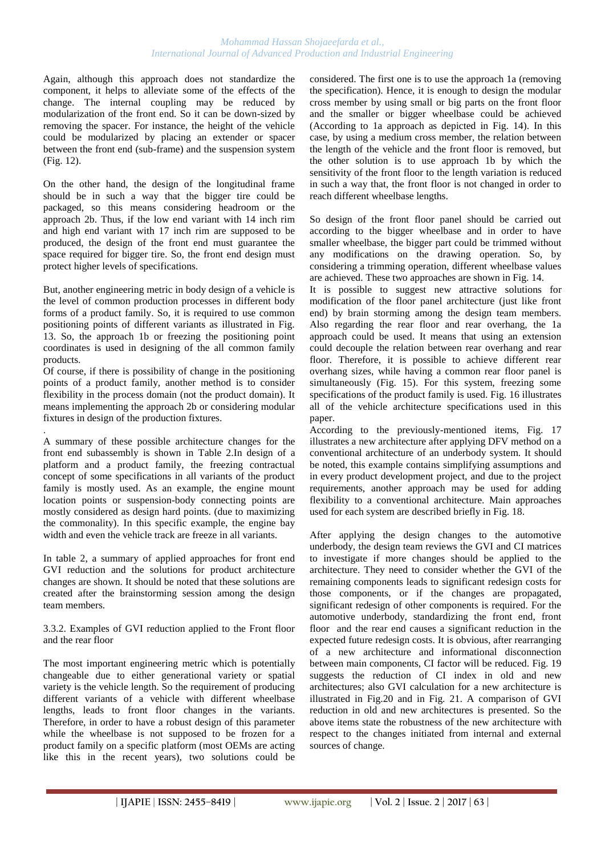Again, although this approach does not standardize the component, it helps to alleviate some of the effects of the change. The internal coupling may be reduced by modularization of the front end. So it can be down-sized by removing the spacer. For instance, the height of the vehicle could be modularized by placing an extender or spacer between the front end (sub-frame) and the suspension system (Fig. 12).

On the other hand, the design of the longitudinal frame should be in such a way that the bigger tire could be packaged, so this means considering headroom or the approach 2b. Thus, if the low end variant with 14 inch rim and high end variant with 17 inch rim are supposed to be produced, the design of the front end must guarantee the space required for bigger tire. So, the front end design must protect higher levels of specifications.

But, another engineering metric in body design of a vehicle is the level of common production processes in different body forms of a product family. So, it is required to use common positioning points of different variants as illustrated in Fig. 13. So, the approach 1b or freezing the positioning point coordinates is used in designing of the all common family products.

Of course, if there is possibility of change in the positioning points of a product family, another method is to consider flexibility in the process domain (not the product domain). It means implementing the approach 2b or considering modular fixtures in design of the production fixtures.

. A summary of these possible architecture changes for the front end subassembly is shown in Table 2.In design of a platform and a product family, the freezing contractual concept of some specifications in all variants of the product family is mostly used. As an example, the engine mount location points or suspension-body connecting points are mostly considered as design hard points. (due to maximizing the commonality). In this specific example, the engine bay width and even the vehicle track are freeze in all variants.

In table 2, a summary of applied approaches for front end GVI reduction and the solutions for product architecture changes are shown. It should be noted that these solutions are created after the brainstorming session among the design team members.

3.3.2. Examples of GVI reduction applied to the Front floor and the rear floor

The most important engineering metric which is potentially changeable due to either generational variety or spatial variety is the vehicle length. So the requirement of producing different variants of a vehicle with different wheelbase lengths, leads to front floor changes in the variants. Therefore, in order to have a robust design of this parameter while the wheelbase is not supposed to be frozen for a product family on a specific platform (most OEMs are acting like this in the recent years), two solutions could be

considered. The first one is to use the approach 1a (removing the specification). Hence, it is enough to design the modular cross member by using small or big parts on the front floor and the smaller or bigger wheelbase could be achieved (According to 1a approach as depicted in Fig. 14). In this case, by using a medium cross member, the relation between the length of the vehicle and the front floor is removed, but the other solution is to use approach 1b by which the sensitivity of the front floor to the length variation is reduced in such a way that, the front floor is not changed in order to reach different wheelbase lengths.

So design of the front floor panel should be carried out according to the bigger wheelbase and in order to have smaller wheelbase, the bigger part could be trimmed without any modifications on the drawing operation. So, by considering a trimming operation, different wheelbase values are achieved. These two approaches are shown in Fig. 14.

It is possible to suggest new attractive solutions for modification of the floor panel architecture (just like front end) by brain storming among the design team members. Also regarding the rear floor and rear overhang, the 1a approach could be used. It means that using an extension could decouple the relation between rear overhang and rear floor. Therefore, it is possible to achieve different rear overhang sizes, while having a common rear floor panel is simultaneously (Fig. 15). For this system, freezing some specifications of the product family is used. Fig. 16 illustrates all of the vehicle architecture specifications used in this paper.

According to the previously-mentioned items, Fig. 17 illustrates a new architecture after applying DFV method on a conventional architecture of an underbody system. It should be noted, this example contains simplifying assumptions and in every product development project, and due to the project requirements, another approach may be used for adding flexibility to a conventional architecture. Main approaches used for each system are described briefly in Fig. 18.

After applying the design changes to the automotive underbody, the design team reviews the GVI and CI matrices to investigate if more changes should be applied to the architecture. They need to consider whether the GVI of the remaining components leads to significant redesign costs for those components, or if the changes are propagated, significant redesign of other components is required. For the automotive underbody, standardizing the front end, front floor and the rear end causes a significant reduction in the expected future redesign costs. It is obvious, after rearranging of a new architecture and informational disconnection between main components, CI factor will be reduced. Fig. 19 suggests the reduction of CI index in old and new architectures; also GVI calculation for a new architecture is illustrated in Fig.20 and in Fig. 21. A comparison of GVI reduction in old and new architectures is presented. So the above items state the robustness of the new architecture with respect to the changes initiated from internal and external sources of change.